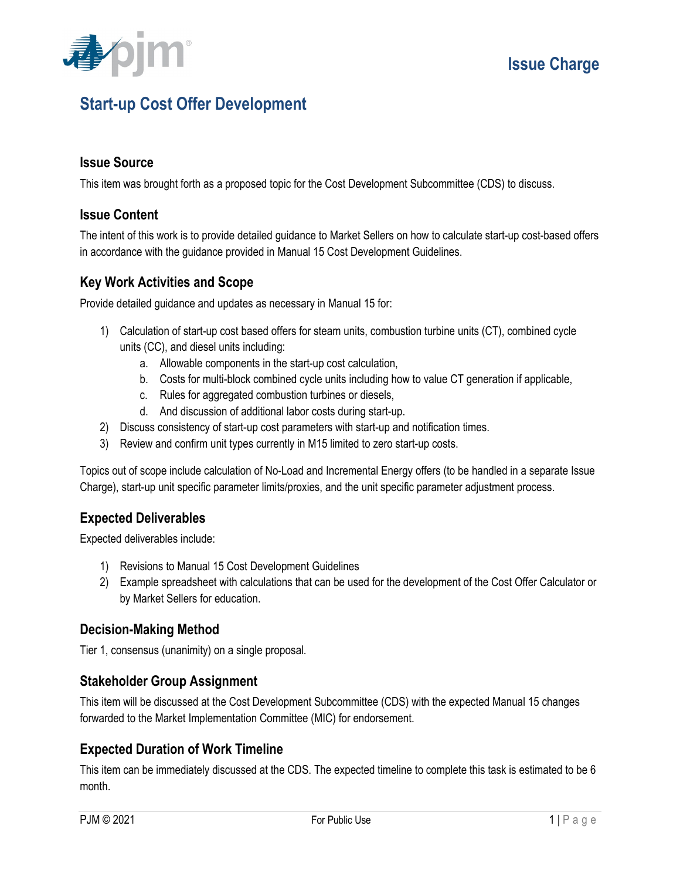

# **Start-up Cost Offer Development**

## **Issue Source**

This item was brought forth as a proposed topic for the Cost Development Subcommittee (CDS) to discuss.

## **Issue Content**

The intent of this work is to provide detailed guidance to Market Sellers on how to calculate start-up cost-based offers in accordance with the guidance provided in Manual 15 Cost Development Guidelines.

## **Key Work Activities and Scope**

Provide detailed guidance and updates as necessary in Manual 15 for:

- 1) Calculation of start-up cost based offers for steam units, combustion turbine units (CT), combined cycle units (CC), and diesel units including:
	- a. Allowable components in the start-up cost calculation,
	- b. Costs for multi-block combined cycle units including how to value CT generation if applicable,
	- c. Rules for aggregated combustion turbines or diesels,
	- d. And discussion of additional labor costs during start-up.
- 2) Discuss consistency of start-up cost parameters with start-up and notification times.
- 3) Review and confirm unit types currently in M15 limited to zero start-up costs.

Topics out of scope include calculation of No-Load and Incremental Energy offers (to be handled in a separate Issue Charge), start-up unit specific parameter limits/proxies, and the unit specific parameter adjustment process.

## **Expected Deliverables**

Expected deliverables include:

- 1) Revisions to Manual 15 Cost Development Guidelines
- 2) Example spreadsheet with calculations that can be used for the development of the Cost Offer Calculator or by Market Sellers for education.

## **Decision-Making Method**

Tier 1, consensus (unanimity) on a single proposal.

## **Stakeholder Group Assignment**

This item will be discussed at the Cost Development Subcommittee (CDS) with the expected Manual 15 changes forwarded to the Market Implementation Committee (MIC) for endorsement.

## **Expected Duration of Work Timeline**

This item can be immediately discussed at the CDS. The expected timeline to complete this task is estimated to be 6 month.